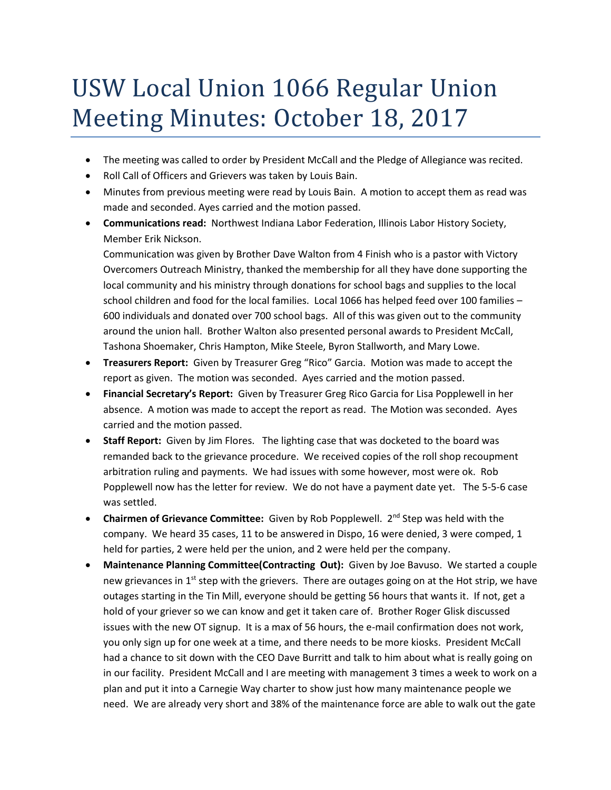## USW Local Union 1066 Regular Union Meeting Minutes: October 18, 2017

- The meeting was called to order by President McCall and the Pledge of Allegiance was recited.
- Roll Call of Officers and Grievers was taken by Louis Bain.
- Minutes from previous meeting were read by Louis Bain. A motion to accept them as read was made and seconded. Ayes carried and the motion passed.
- **Communications read:** Northwest Indiana Labor Federation, Illinois Labor History Society, Member Erik Nickson.

Communication was given by Brother Dave Walton from 4 Finish who is a pastor with Victory Overcomers Outreach Ministry, thanked the membership for all they have done supporting the local community and his ministry through donations for school bags and supplies to the local school children and food for the local families. Local 1066 has helped feed over 100 families – 600 individuals and donated over 700 school bags. All of this was given out to the community around the union hall. Brother Walton also presented personal awards to President McCall, Tashona Shoemaker, Chris Hampton, Mike Steele, Byron Stallworth, and Mary Lowe.

- **Treasurers Report:** Given by Treasurer Greg "Rico" Garcia. Motion was made to accept the report as given. The motion was seconded. Ayes carried and the motion passed.
- **Financial Secretary's Report:** Given by Treasurer Greg Rico Garcia for Lisa Popplewell in her absence. A motion was made to accept the report as read. The Motion was seconded. Ayes carried and the motion passed.
- **Staff Report:** Given by Jim Flores. The lighting case that was docketed to the board was remanded back to the grievance procedure. We received copies of the roll shop recoupment arbitration ruling and payments. We had issues with some however, most were ok. Rob Popplewell now has the letter for review. We do not have a payment date yet. The 5-5-6 case was settled.
- **Chairmen of Grievance Committee:** Given by Rob Popplewell. 2<sup>nd</sup> Step was held with the company. We heard 35 cases, 11 to be answered in Dispo, 16 were denied, 3 were comped, 1 held for parties, 2 were held per the union, and 2 were held per the company.
- **Maintenance Planning Committee(Contracting Out):** Given by Joe Bavuso. We started a couple new grievances in 1<sup>st</sup> step with the grievers. There are outages going on at the Hot strip, we have outages starting in the Tin Mill, everyone should be getting 56 hours that wants it. If not, get a hold of your griever so we can know and get it taken care of. Brother Roger Glisk discussed issues with the new OT signup. It is a max of 56 hours, the e-mail confirmation does not work, you only sign up for one week at a time, and there needs to be more kiosks. President McCall had a chance to sit down with the CEO Dave Burritt and talk to him about what is really going on in our facility. President McCall and I are meeting with management 3 times a week to work on a plan and put it into a Carnegie Way charter to show just how many maintenance people we need. We are already very short and 38% of the maintenance force are able to walk out the gate